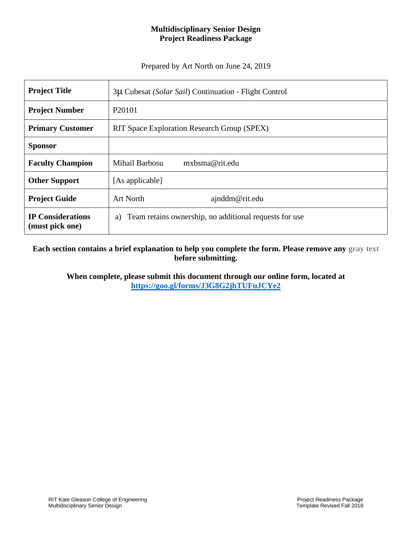#### **Multidisciplinary Senior Design Project Readiness Package**

Prepared by Art North on June 24, 2019

| <b>Project Title</b>                        | 3µ Cubesat (Solar Sail) Continuation - Flight Control        |
|---------------------------------------------|--------------------------------------------------------------|
| <b>Project Number</b>                       | P <sub>20101</sub>                                           |
| <b>Primary Customer</b>                     | RIT Space Exploration Research Group (SPEX)                  |
| <b>Sponsor</b>                              |                                                              |
| <b>Faculty Champion</b>                     | Mihail Barbosu<br>mxbsma@rit.edu                             |
| <b>Other Support</b>                        | [As applicable]                                              |
| <b>Project Guide</b>                        | <b>Art North</b><br>ajnddm@rit.edu                           |
| <b>IP Considerations</b><br>(must pick one) | Team retains ownership, no additional requests for use<br>a) |

**Each section contains a brief explanation to help you complete the form. Please remove any gray text before submitting.**

**When complete, please submit this document through our online form, located at <https://goo.gl/forms/J3G8G2jhTUFuJCYe2>**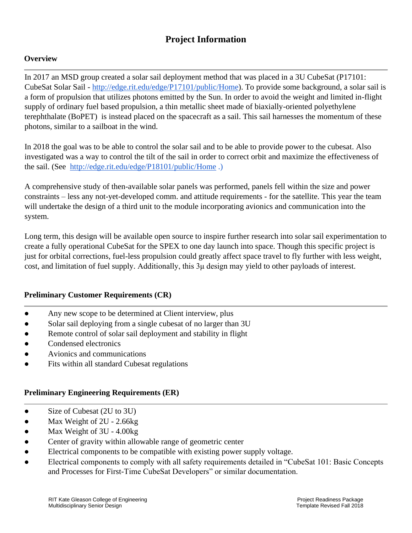# **Project Information**

#### **Overview**

In 2017 an MSD group created a solar sail deployment method that was placed in a 3U CubeSat (P17101: CubeSat Solar Sail - http://edge.rit.edu/edge/P17101/public/Home). To provide some background, a solar sail is a form of propulsion that utilizes photons emitted by the Sun. In order to avoid the weight and limited in-flight supply of ordinary fuel based propulsion, a thin metallic sheet made of biaxially-oriented polyethylene terephthalate (BoPET) is instead placed on the spacecraft as a sail. This sail harnesses the momentum of these photons, similar to a sailboat in the wind.

In 2018 the goal was to be able to control the solar sail and to be able to provide power to the cubesat. Also investigated was a way to control the tilt of the sail in order to correct orbit and maximize the effectiveness of the sail. (See http://edge.rit.edu/edge/P18101/public/Home .)

A comprehensive study of then-available solar panels was performed, panels fell within the size and power constraints – less any not-yet-developed comm. and attitude requirements - for the satellite. This year the team will undertake the design of a third unit to the module incorporating avionics and communication into the system.

Long term, this design will be available open source to inspire further research into solar sail experimentation to create a fully operational CubeSat for the SPEX to one day launch into space. Though this specific project is just for orbital corrections, fuel-less propulsion could greatly affect space travel to fly further with less weight, cost, and limitation of fuel supply. Additionally, this 3μ design may yield to other payloads of interest.

#### **Preliminary Customer Requirements (CR)**

- Any new scope to be determined at Client interview, plus
- Solar sail deploying from a single cubesat of no larger than 3U
- Remote control of solar sail deployment and stability in flight
- Condensed electronics
- Avionics and communications
- Fits within all standard Cubesat regulations

#### **Preliminary Engineering Requirements (ER)**

- Size of Cubesat (2U to 3U)
- Max Weight of 2U 2.66kg
- Max Weight of 3U 4.00 kg
- Center of gravity within allowable range of geometric center
- Electrical components to be compatible with existing power supply voltage.
- Electrical components to comply with all safety requirements detailed in "CubeSat 101: Basic Concepts and Processes for First-Time CubeSat Developers" or similar documentation.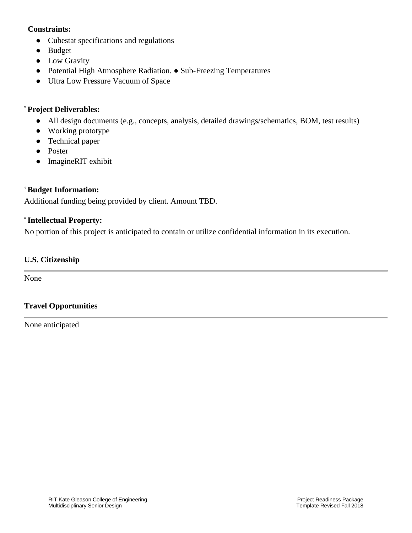#### **Constraints:**

- Cubestat specifications and regulations
- Budget
- Low Gravity
- Potential High Atmosphere Radiation. Sub-Freezing Temperatures
- Ultra Low Pressure Vacuum of Space

### **\* Project Deliverables:**

- All design documents (e.g., concepts, analysis, detailed drawings/schematics, BOM, test results)
- Working prototype
- Technical paper
- Poster
- ImagineRIT exhibit

### **† Budget Information:**

Additional funding being provided by client. Amount TBD.

### **\* Intellectual Property:**

No portion of this project is anticipated to contain or utilize confidential information in its execution.

#### **U.S. Citizenship**

None

# **Travel Opportunities**

None anticipated